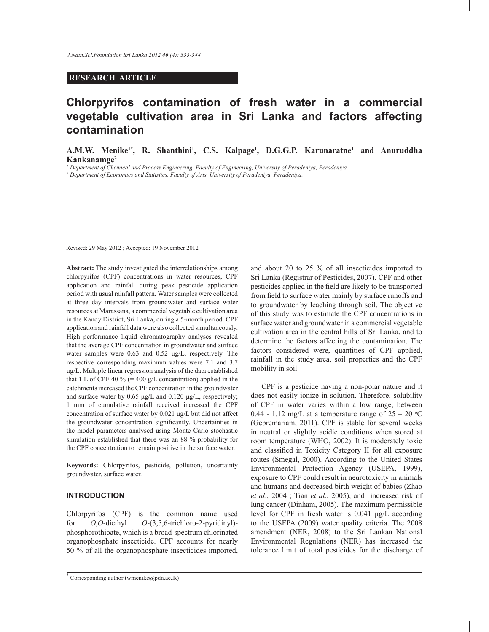# **RESEARCH ARTICLE**

# **Chlorpyrifos contamination of fresh water in a commercial vegetable cultivation area in Sri Lanka and factors affecting contamination**

**A.M.W. Menike1\*, R. Shanthini<sup>1</sup> , C.S. Kalpage<sup>1</sup> , D.G.G.P. Karunaratne<sup>1</sup> and Anuruddha Kankanamge<sup>2</sup>**

*1 Department of Chemical and Process Engineering, Faculty of Engineering, University of Peradeniya, Peradeniya.*

*2 Department of Economics and Statistics, Faculty of Arts, University of Peradeniya, Peradeniya.*

Revised: 29 May 2012 ; Accepted: 19 November 2012

**Abstract:** The study investigated the interrelationships among chlorpyrifos (CPF) concentrations in water resources, CPF application and rainfall during peak pesticide application period with usual rainfall pattern. Water samples were collected at three day intervals from groundwater and surface water resources at Marassana, a commercial vegetable cultivation area in the Kandy District, Sri Lanka, during a 5-month period. CPF application and rainfall data were also collected simultaneously. High performance liquid chromatography analyses revealed that the average CPF concentration in groundwater and surface water samples were 0.63 and 0.52 μg/L, respectively. The respective corresponding maximum values were 7.1 and 3.7 μg/L. Multiple linear regression analysis of the data established that 1 L of CPF 40 %  $(= 400 \text{ g/L}$  concentration) applied in the catchments increased the CPF concentration in the groundwater and surface water by 0.65 μg/L and 0.120 μg/L, respectively; 1 mm of cumulative rainfall received increased the CPF concentration of surface water by 0.021 μg/L but did not affect the groundwater concentration significantly. Uncertainties in the model parameters analysed using Monte Carlo stochastic simulation established that there was an 88 % probability for the CPF concentration to remain positive in the surface water.

**Keywords:** Chlorpyrifos, pesticide, pollution, uncertainty groundwater, surface water.

# **INTRODUCTION**

Chlorpyrifos (CPF) is the common name used for *O*,*O*-diethyl *O*-(3,5,6-trichloro-2-pyridinyl) phosphorothioate, which is a broad-spectrum chlorinated organophosphate insecticide. CPF accounts for nearly 50 % of all the organophosphate insecticides imported, and about 20 to 25 % of all insecticides imported to Sri Lanka (Registrar of Pesticides, 2007). CPF and other pesticides applied in the field are likely to be transported from field to surface water mainly by surface runoffs and to groundwater by leaching through soil. The objective of this study was to estimate the CPF concentrations in surface water and groundwater in a commercial vegetable cultivation area in the central hills of Sri Lanka, and to determine the factors affecting the contamination. The factors considered were, quantities of CPF applied, rainfall in the study area, soil properties and the CPF mobility in soil.

 CPF is a pesticide having a non-polar nature and it does not easily ionize in solution. Therefore, solubility of CPF in water varies within a low range, between 0.44 - 1.12 mg/L at a temperature range of  $25 - 20$  °C (Gebremariam, 2011). CPF is stable for several weeks in neutral or slightly acidic conditions when stored at room temperature (WHO, 2002). It is moderately toxic and classified in Toxicity Category II for all exposure routes (Smegal, 2000). According to the United States Environmental Protection Agency (USEPA, 1999), exposure to CPF could result in neurotoxicity in animals and humans and decreased birth weight of babies (Zhao *et al*., 2004 ; Tian *et al*., 2005), and increased risk of lung cancer (Dinham, 2005). The maximum permissible level for CPF in fresh water is 0.041 μg/L according to the USEPA (2009) water quality criteria. The 2008 amendment (NER, 2008) to the Sri Lankan National Environmental Regulations (NER) has increased the tolerance limit of total pesticides for the discharge of

<sup>\*</sup> Corresponding author (wmenike@pdn.ac.lk)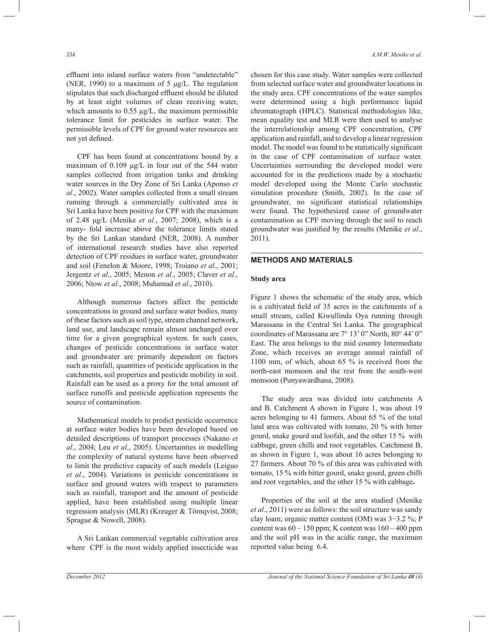effluent into inland surface waters from "undetectable" (NER, 1990) to a maximum of 5 μg/L. The regulation stipulates that such discharged effluent should be diluted by at least eight volumes of clean receiving water, which amounts to  $0.55 \mu g/L$ , the maximum permissible tolerance limit for pesticides in surface water. The permissible levels of CPF for ground water resources are not yet defined.

 CPF has been found at concentrations bound by a maximum of 0.109 μg/L in four out of the 544 water samples collected from irrigation tanks and drinking water sources in the Dry Zone of Sri Lanka (Aponso *et al*., 2002). Water samples collected from a small stream running through a commercially cultivated area in Sri Lanka have been positive for CPF with the maximum of 2.48 μg/L (Menike *et al*., 2007; 2008), which is a many- fold increase above the tolerance limits stated by the Sri Lankan standard (NER, 2008). A number of international research studies have also reported detection of CPF residues in surface water, groundwater and soil (Fenelon & Moore, 1998; Troiano *et al*., 2001; Jergentz *et al*., 2005; Menon *et al*., 2005; Claver *et al*., 2006; Ntow *et al*., 2008; Muhamad *et al*., 2010).

 Although numerous factors affect the pesticide concentrations in ground and surface water bodies, many of these factors such as soil type, stream channel network, land use, and landscape remain almost unchanged over time for a given geographical system. In such cases, changes of pesticide concentrations in surface water and groundwater are primarily dependent on factors such as rainfall, quantities of pesticide application in the catchments, soil properties and pesticide mobility in soil. Rainfall can be used as a proxy for the total amount of surface runoffs and pesticide application represents the source of contamination.

 Mathematical models to predict pesticide occurrence at surface water bodies have been developed based on detailed descriptions of transport processes (Nakano *et al*., 2004; Leu *et al*., 2005). Uncertainties in modelling the complexity of natural systems have been observed to limit the predictive capacity of such models (Leiguo *et al*., 2004). Variations in pesticide concentrations in surface and ground waters with respect to parameters such as rainfall, transport and the amount of pesticide applied, have been established using multiple linear regression analysis (MLR) (Kreuger & Törnqvist, 2008; Sprague & Nowell, 2008).

 A Sri Lankan commercial vegetable cultivation area where CPF is the most widely applied insecticide was chosen for this case study. Water samples were collected from selected surface water and groundwater locations in the study area. CPF concentrations of the water samples were determined using a high performance liquid chromatograph (HPLC). Statistical methodologies like, mean equality test and MLR were then used to analyse the interrelationship among CPF concentration, CPF application and rainfall, and to develop a linear regression model. The model was found to be statistically significant in the case of CPF contamination of surface water. Uncertainties surrounding the developed model were accounted for in the predictions made by a stochastic model developed using the Monte Carlo stochastic simulation procedure (Smith, 2002). In the case of groundwater, no significant statistical relationships were found. The hypothesized cause of groundwater contamination as CPF moving through the soil to reach groundwater was justified by the results (Menike *et al*., 2011).

#### **METHODS AND MATERIALS**

#### **Study area**

Figure 1 shows the schematic of the study area, which is a cultivated field of 35 acres in the catchments of a small stream, called Kiwullinda Oya running through Marassana in the Central Sri Lanka. The geographical coordinates of Marassana are 7° 13' 0" North, 80° 44' 0" East. The area belongs to the mid country Intermediate Zone, which receives an average annual rainfall of 1100 mm, of which, about 65 % is received from the north-east monsoon and the rest from the south-west monsoon (Punyawardhana, 2008).

 The study area was divided into catchments A and B. Catchment A shown in Figure 1, was about 19 acres belonging to 41 farmers. About 65 % of the total land area was cultivated with tomato, 20 % with bitter gourd, snake gourd and loofah, and the other 15 % with cabbage, green chilli and root vegetables. Catchment B, as shown in Figure 1, was about 16 acres belonging to 27 farmers. About 70 % of this area was cultivated with tomato, 15 % with bitter gourd, snake gourd, green chilli and root vegetables, and the other 15 % with cabbage**.**

 Properties of the soil at the area studied (Menike *et al*., 2011) were as follows: the soil structure was sandy clay loam; organic matter content (OM) was 3−3.2 %; P content was  $60 - 150$  ppm; K content was  $160 - 400$  ppm and the soil pH was in the acidic range, the maximum reported value being 6.4.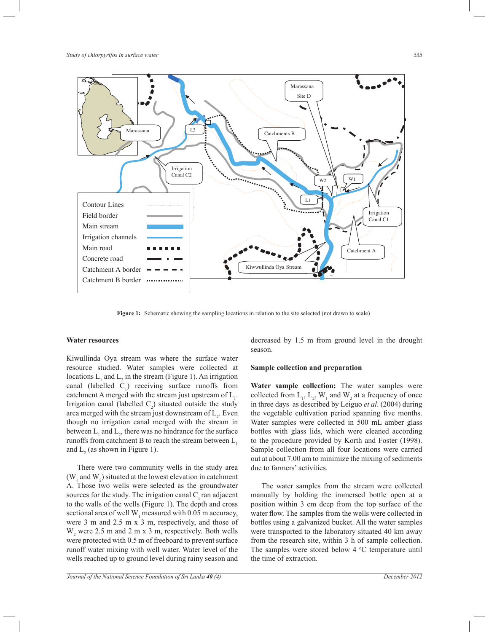

**Figure 1:** Schematic showing the sampling locations in relation to the site selected (not drawn to scale)

#### **Water resources**

Kiwullinda Oya stream was where the surface water resource studied. Water samples were collected at locations  $L_1$  and  $L_2$  in the stream (Figure 1). An irrigation canal (labelled  $C_1$ ) receiving surface runoffs from catchment A merged with the stream just upstream of  $L_1$ . Irrigation canal (labelled  $C_2$ ) situated outside the study area merged with the stream just downstream of  $L_2$ . Even though no irrigation canal merged with the stream in between  $L_1$  and  $L_2$ , there was no hindrance for the surface runoffs from catchment B to reach the stream between  $L_1$ and  $L_2$  (as shown in Figure 1).

 There were two community wells in the study area ( $W_1$  and  $W_2$ ) situated at the lowest elevation in catchment A. Those two wells were selected as the groundwater sources for the study. The irrigation canal  $C<sub>1</sub>$  ran adjacent to the walls of the wells (Figure 1). The depth and cross sectional area of well  $W_1$  measured with 0.05 m accuracy, were 3 m and 2.5 m x 3 m, respectively, and those of  $W_2$  were 2.5 m and 2 m x 3 m, respectively. Both wells were protected with 0.5 m of freeboard to prevent surface runoff water mixing with well water. Water level of the wells reached up to ground level during rainy season and

decreased by 1.5 m from ground level in the drought season.

#### **Sample collection and preparation**

**Water sample collection:** The water samples were collected from  $L_1$ ,  $L_2$ ,  $W_1$  and  $W_2$  at a frequency of once in three days as described by Leiguo *et al*. (2004) during the vegetable cultivation period spanning five months. Water samples were collected in 500 mL amber glass bottles with glass lids, which were cleaned according to the procedure provided by Korth and Foster (1998). Sample collection from all four locations were carried out at about 7.00 am to minimize the mixing of sediments due to farmers' activities.

 The water samples from the stream were collected manually by holding the immersed bottle open at a position within 3 cm deep from the top surface of the water flow. The samples from the wells were collected in bottles using a galvanized bucket. All the water samples were transported to the laboratory situated 40 km away from the research site, within 3 h of sample collection. The samples were stored below  $4 \degree C$  temperature until the time of extraction.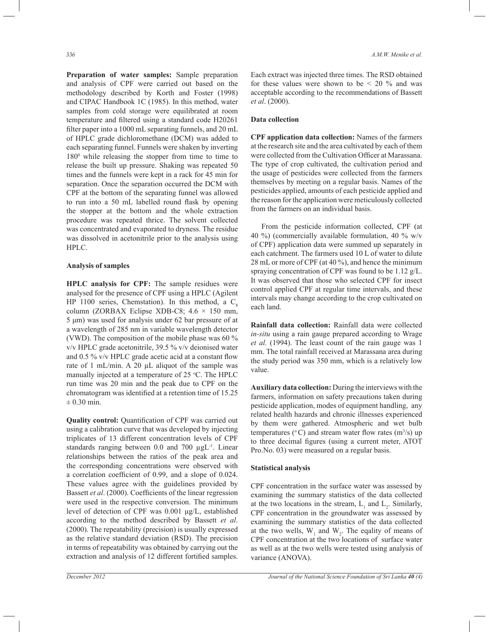**Preparation of water samples:** Sample preparation and analysis of CPF were carried out based on the methodology described by Korth and Foster (1998) and CIPAC Handbook 1C (1985). In this method, water samples from cold storage were equilibrated at room temperature and filtered using a standard code H20261 filter paper into a 1000 mL separating funnels, and 20 mL of HPLC grade dichloromethane (DCM) was added to each separating funnel. Funnels were shaken by inverting 180<sup>0</sup> while releasing the stopper from time to time to release the built up pressure. Shaking was repeated 50 times and the funnels were kept in a rack for 45 min for separation. Once the separation occurred the DCM with CPF at the bottom of the separating funnel was allowed to run into a 50 mL labelled round flask by opening the stopper at the bottom and the whole extraction procedure was repeated thrice. The solvent collected was concentrated and evaporated to dryness. The residue was dissolved in acetonitrile prior to the analysis using HPLC.

#### **Analysis of samples**

**HPLC analysis for CPF:** The sample residues were analysed for the presence of CPF using a HPLC (Agilent HP 1100 series, Chemstation). In this method, a  $C_8$ column (ZORBAX Eclipse XDB-C8;  $4.6 \times 150$  mm, 5 μm) was used for analysis under 62 bar pressure of at a wavelength of 285 nm in variable wavelength detector (VWD). The composition of the mobile phase was 60 % v/v HPLC grade acetonitrile, 39.5 % v/v deionised water and 0.5 % v/v HPLC grade acetic acid at a constant flow rate of 1 mL/min. A 20 µL aliquot of the sample was manually injected at a temperature of 25 °C. The HPLC run time was 20 min and the peak due to CPF on the chromatogram was identified at a retention time of 15.25  $\pm$  0.30 min.

**Quality control:** Quantification of CPF was carried out using a calibration curve that was developed by injecting triplicates of 13 different concentration levels of CPF standards ranging between 0.0 and 700 µgL<sup>-1</sup>. Linear relationships between the ratios of the peak area and the corresponding concentrations were observed with a correlation coefficient of 0.99, and a slope of 0.024. These values agree with the guidelines provided by Bassett *et al*. (2000). Coefficients of the linear regression were used in the respective conversion. The minimum level of detection of CPF was 0.001 μg/L, established according to the method described by Bassett *et al*. (2000). The repeatability (precision) is usually expressed as the relative standard deviation (RSD). The precision in terms of repeatability was obtained by carrying out the extraction and analysis of 12 different fortified samples.

Each extract was injected three times. The RSD obtained for these values were shown to be  $\leq$  20 % and was acceptable according to the recommendations of Bassett *et al*. (2000).

#### **Data collection**

**CPF application data collection:** Names of the farmers at the research site and the area cultivated by each of them were collected from the Cultivation Officer at Marassana. The type of crop cultivated, the cultivation period and the usage of pesticides were collected from the farmers themselves by meeting on a regular basis. Names of the pesticides applied, amounts of each pesticide applied and the reason for the application were meticulously collected from the farmers on an individual basis.

 From the pesticide information collected, CPF (at 40 %) (commercially available formulation, 40 % w/v of CPF) application data were summed up separately in each catchment. The farmers used 10 L of water to dilute 28 mL or more of CPF (at 40 %), and hence the minimum spraying concentration of CPF was found to be 1.12 g/L. It was observed that those who selected CPF for insect control applied CPF at regular time intervals, and these intervals may change according to the crop cultivated on each land.

**Rainfall data collection:** Rainfall data were collected *in-situ* using a rain gauge prepared according to Wrage *et al.* (1994). The least count of the rain gauge was 1 mm. The total rainfall received at Marassana area during the study period was 350 mm, which is a relatively low value.

**Auxiliary data collection:** During the interviews with the farmers, information on safety precautions taken during pesticide application, modes of equipment handling, any related health hazards and chronic illnesses experienced by them were gathered. Atmospheric and wet bulb temperatures ( $\degree$ C) and stream water flow rates (m<sup>3</sup>/s) up to three decimal figures (using a current meter, ATOT Pro.No. 03) were measured on a regular basis.

## **Statistical analysis**

CPF concentration in the surface water was assessed by examining the summary statistics of the data collected at the two locations in the stream,  $L_1$  and  $L_2$ . Similarly, CPF concentration in the groundwater was assessed by examining the summary statistics of the data collected at the two wells,  $W_1$  and  $W_2$ . The eqality of means of CPF concentration at the two locations of surface water as well as at the two wells were tested using analysis of variance (ANOVA).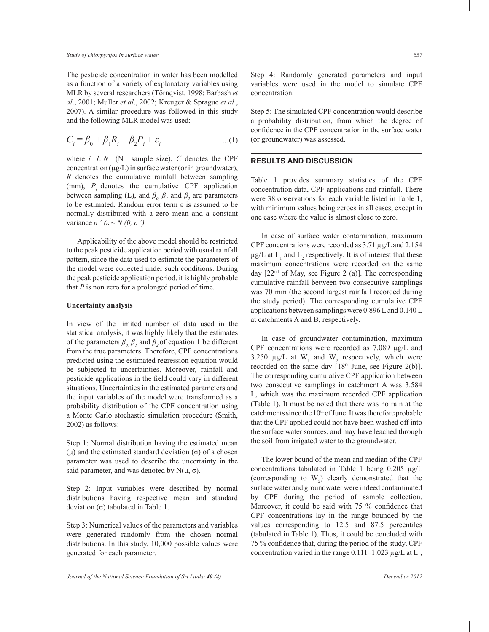*Study of chlorpyrifos in surface water 337*

The pesticide concentration in water has been modelled as a function of a variety of explanatory variables using MLR by several researchers (Törnqvist, 1998; Barbash *et al*., 2001; Muller *et al*., 2002; Kreuger & Sprague *et al*., 2007). A similar procedure was followed in this study and the following MLR model was used:

$$
C_i = \beta_0 + \beta_1 R_i + \beta_2 P_i + \varepsilon_i \tag{1}
$$

where  $i=1..N$  (N= sample size), C denotes the CPF concentration  $(\mu g/L)$  in surface water (or in groundwater), *R* denotes the cumulative rainfall between sampling (mm),  $P_t$  denotes the cumulative CPF application between sampling (L), and  $\beta_0$ ,  $\beta_1$  and  $\beta_2$  are parameters to be estimated. Random error term ε is assumed to be normally distributed with a zero mean and a constant variance  $\sigma^2$  ( $\varepsilon \sim N(0, \sigma^2)$ ).

 Applicability of the above model should be restricted to the peak pesticide application period with usual rainfall pattern, since the data used to estimate the parameters of the model were collected under such conditions. During the peak pesticide application period, it is highly probable that *P* is non zero for a prolonged period of time.

#### **Uncertainty analysis**

In view of the limited number of data used in the statistical analysis, it was highly likely that the estimates of the parameters  $\beta_{0}$ ,  $\beta_{1}$  and  $\beta_{2}$  of equation 1 be different from the true parameters. Therefore, CPF concentrations predicted using the estimated regression equation would be subjected to uncertainties. Moreover, rainfall and pesticide applications in the field could vary in different situations. Uncertainties in the estimated parameters and the input variables of the model were transformed as a probability distribution of the CPF concentration using a Monte Carlo stochastic simulation procedure (Smith, 2002) as follows:

Step 1: Normal distribution having the estimated mean (μ) and the estimated standard deviation (σ) of a chosen parameter was used to describe the uncertainty in the said parameter, and was denoted by  $N(\mu, \sigma)$ .

Step 2: Input variables were described by normal distributions having respective mean and standard deviation (σ) tabulated in Table 1.

Step 3: Numerical values of the parameters and variables were generated randomly from the chosen normal distributions. In this study, 10,000 possible values were generated for each parameter.

Step 4: Randomly generated parameters and input variables were used in the model to simulate CPF concentration.

Step 5: The simulated CPF concentration would describe a probability distribution, from which the degree of confidence in the CPF concentration in the surface water (or groundwater) was assessed.

## **RESULTS AND DISCUSSION**

Table 1 provides summary statistics of the CPF concentration data, CPF applications and rainfall. There were 38 observations for each variable listed in Table 1, with minimum values being zeroes in all cases, except in one case where the value is almost close to zero.

 In case of surface water contamination, maximum CPF concentrations were recorded as 3.71 µg/L and 2.154  $\mu$ g/L at L<sub>1</sub> and L<sub>2</sub> respectively. It is of interest that these maximum concentrations were recorded on the same day  $[22<sup>nd</sup>$  of May, see Figure 2 (a)]. The corresponding cumulative rainfall between two consecutive samplings was 70 mm (the second largest rainfall recorded during the study period). The corresponding cumulative CPF applications between samplings were 0.896 L and 0.140 L at catchments A and B, respectively.

 In case of groundwater contamination, maximum CPF concentrations were recorded as 7.089 µg/L and 3.250  $\mu$ g/L at W<sub>1</sub> and W<sub>2</sub> respectively, which were recorded on the same day  $[18<sup>th</sup>$  June, see Figure 2(b)]. The corresponding cumulative CPF application between two consecutive samplings in catchment A was 3.584 L, which was the maximum recorded CPF application (Table 1). It must be noted that there was no rain at the catchments since the 10<sup>th</sup> of June. It was therefore probable that the CPF applied could not have been washed off into the surface water sources, and may have leached through the soil from irrigated water to the groundwater.

 The lower bound of the mean and median of the CPF concentrations tabulated in Table 1 being 0.205 µg/L (corresponding to  $W_2$ ) clearly demonstrated that the surface water and groundwater were indeed contaminated by CPF during the period of sample collection. Moreover, it could be said with 75 % confidence that CPF concentrations lay in the range bounded by the values corresponding to 12.5 and 87.5 percentiles (tabulated in Table 1). Thus, it could be concluded with 75 % confidence that, during the period of the study, CPF concentration varied in the range  $0.111-1.023 \mu g/L$  at  $L_1$ ,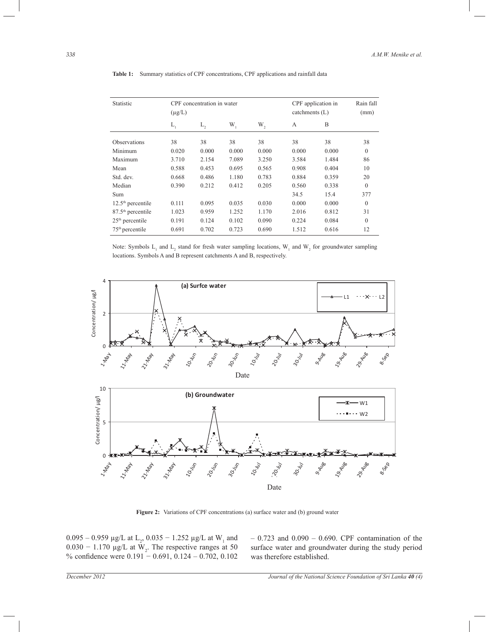| Statistic                     | $(\mu g/L)$ | CPF concentration in water |         |       |              | CPF application in<br>catchments (L) |              |
|-------------------------------|-------------|----------------------------|---------|-------|--------------|--------------------------------------|--------------|
|                               | $L_{1}$     | $L_{2}$                    | $W_{1}$ | W,    | $\mathsf{A}$ | B                                    |              |
| <b>Observations</b>           | 38          | 38                         | 38      | 38    | 38           | 38                                   | 38           |
| Minimum                       | 0.020       | 0.000                      | 0.000   | 0.000 | 0.000        | 0.000                                | $\mathbf{0}$ |
| Maximum                       | 3.710       | 2.154                      | 7.089   | 3.250 | 3.584        | 1.484                                | 86           |
| Mean                          | 0.588       | 0.453                      | 0.695   | 0.565 | 0.908        | 0.404                                | 10           |
| Std. dev.                     | 0.668       | 0.486                      | 1.180   | 0.783 | 0.884        | 0.359                                | 20           |
| Median                        | 0.390       | 0.212                      | 0.412   | 0.205 | 0.560        | 0.338                                | $\theta$     |
| Sum                           |             |                            |         |       | 34.5         | 15.4                                 | 377          |
| $12.5th$ percentile           | 0.111       | 0.095                      | 0.035   | 0.030 | 0.000        | 0.000                                | $\Omega$     |
| 87.5 <sup>th</sup> percentile | 1.023       | 0.959                      | 1.252   | 1.170 | 2.016        | 0.812                                | 31           |
| $25th$ percentile             | 0.191       | 0.124                      | 0.102   | 0.090 | 0.224        | 0.084                                | $\theta$     |
| $75th$ percentile             | 0.691       | 0.702                      | 0.723   | 0.690 | 1.512        | 0.616                                | 12           |

**Table 1:** Summary statistics of CPF concentrations, CPF applications and rainfall data

Note: Symbols  $L_1$  and  $L_2$  stand for fresh water sampling locations,  $W_1$  and  $W_2$  for groundwater sampling locations. Symbols A and B represent catchments A and B, respectively.



**Figure 2:** Variations of CPF concentrations (a) surface water and (b) ground water

 $0.095 - 0.959$  μg/L at L<sub>2</sub>,  $0.035 - 1.252$  μg/L at W<sub>1</sub> and  $0.030 - 1.170 \text{ }\mu\text{g/L}$  at W<sub>2</sub>. The respective ranges at 50 % confidence were 0.191 − 0.691, 0.124 – 0.702, 0.102  $_{2}$ es at  $_{50}$ 

 $-0.723$  and  $0.090 - 0.690$ . CPF contamination of the surface water and groundwater during the study period was therefore established.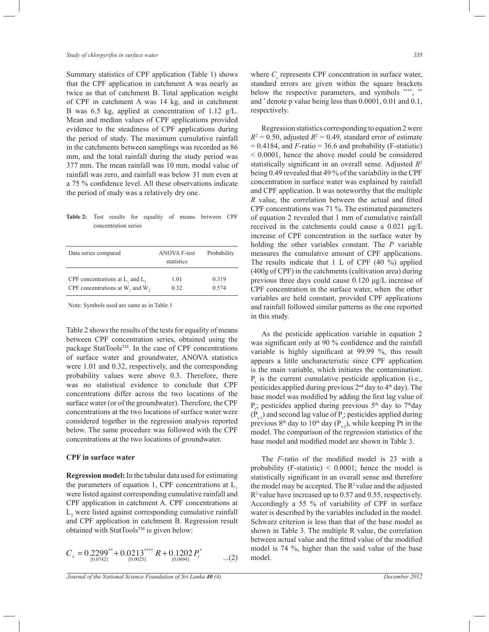Summary statistics of CPF application (Table 1) shows that the CPF application in catchment A was nearly as twice as that of catchment B. Total application weight of CPF in catchment A was 14 kg, and in catchment B was 6.5 kg, applied at concentration of 1.12 g/L. Mean and median values of CPF applications provided evidence to the steadiness of CPF applications during the period of study. The maximum cumulative rainfall in the catchments between samplings was recorded as 86 mm, and the total rainfall during the study period was 377 mm. The mean rainfall was 10 mm, modal value of rainfall was zero, and rainfall was below 31 mm even at a 75 % confidence level. All these observations indicate the period of study was a relatively dry one.

**Table 2:** Test results for equality of means between CPF concentration series

| Data series compared                  | <b>ANOVA F-test</b><br>statistics | Probability |
|---------------------------------------|-----------------------------------|-------------|
| CPF concentrations at $L_1$ and $L_2$ | 1.01                              | 0.319       |
| CPF concentrations at W, and W,       | 0.32                              | 0.574       |

Note: Symbols used are same as in Table 1

Table 2 shows the results of the tests for equality of means between CPF concentration series, obtained using the package StatTools™. In the case of CPF concentrations of surface water and groundwater, ANOVA statistics were 1.01 and 0.32, respectively, and the corresponding probability values were above 0.3. Therefore, there was no statistical evidence to conclude that CPF concentrations differ across the two locations of the surface water (or of the groundwater). Therefore, the CPF concentrations at the two locations of surface water were considered together in the regression analysis reported below. The same procedure was followed with the CPF concentrations at the two locations of groundwater.

## **CPF in surface water**

**Regression model:** In the tabular data used for estimating the parameters of equation 1, CPF concentrations at  $L<sub>1</sub>$ were listed against corresponding cumulative rainfall and CPF application in catchment A. CPF concentrations at  $L<sub>2</sub>$  were listed against corresponding cumulative rainfall and CPF application in catchment B. Regression result obtained with StatTools™ is given below:

$$
C_s = 0.2299^{**} + 0.0213^{***} + R + 0.1202 P_t^*
$$
...(2)

where  $C_s$  represents CPF concentration in surface water, standard errors are given within the square brackets below the respective parameters, and symbols \*\*\*\*, \*\* and \* denote p value being less than 0.0001, 0.01 and 0.1, respectively.

 Regression statistics corresponding to equation 2 were  $R^2 = 0.50$ , adjusted  $R^2 = 0.49$ , standard error of estimate  $= 0.4184$ , and  $F$ -ratio  $= 36.6$  and probability (F-statistic) < 0.0001, hence the above model could be considered statistically significant in an overall sense. Adjusted *R* 2 being 0.49 revealed that 49 % of the variability in the CPF concentration in surface water was explained by rainfall and CPF application. It was noteworthy that the multiple *R* value, the correlation between the actual and fitted CPF concentrations was 71 %. The estimated parameters of equation 2 revealed that 1 mm of cumulative rainfall received in the catchments could cause a 0.021 μg/L increase of CPF concentration in the surface water by holding the other variables constant. The *P* variable measures the cumulative amount of CPF applications. The results indicate that 1 L of CPF (40 %) applied (400g of CPF) in the catchments (cultivation area) during previous three days could cause 0.120 μg/L increase of CPF concentration in the surface water, when the other variables are held constant, provided CPF applications and rainfall followed similar patterns as the one reported in this study.

 As the pesticide application variable in equation 2 was significant only at 90 % confidence and the rainfall variable is highly significant at 99.99 %, this result appears a little uncharacteristic since CPF application is the main variable, which initiates the contamination.  $P_t$  is the current cumulative pesticide application (i.e., pesticides applied during previous  $2<sup>nd</sup>$  day to  $4<sup>th</sup>$  day). The base model was modified by adding the first lag value of  $P_t$ ; pesticides applied during previous 5<sup>th</sup> day to 7<sup>th</sup>day  $(P_{t-1})$  and second lag value of  $P_t$ ; pesticides applied during previous 8<sup>th</sup> day to 10<sup>th</sup> day (P<sub>t-2</sub>), while keeping Pt in the model. The comparison of the regression statistics of the base model and modified model are shown in Table 3.

 The *F-*ratio of the modified model is 23 with a probability (F-statistic)  $\leq 0.0001$ ; hence the model is statistically significant in an overall sense and therefore the model may be accepted. The  $R^2$  value and the adjusted R<sup>2</sup>value have increased up to 0.57 and 0.55, respectively. Accordingly a 55 % of variability of CPF in surface water is described by the variables included in the model. Schwarz criterion is less than that of the base model as shown in Table 3. The multiple R value, the correlation between actual value and the fitted value of the modified model is 74 %, higher than the said value of the base model.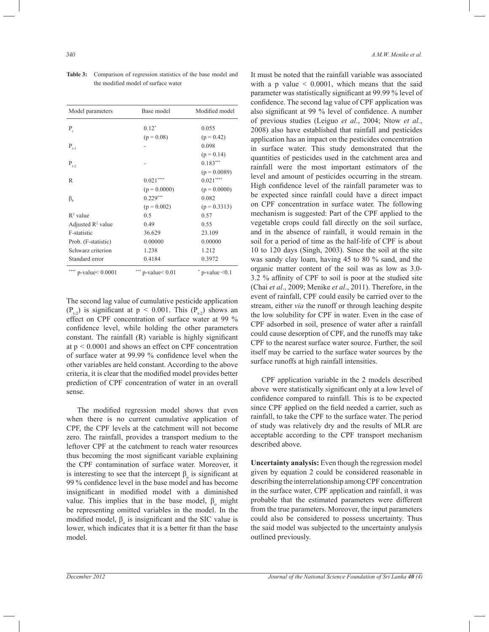| Model parameters               | Base model          | Modified model        |
|--------------------------------|---------------------|-----------------------|
| $P_{t}$                        | $0.12*$             | 0.055                 |
|                                | $(p = 0.08)$        | $(p = 0.42)$          |
| $\mathbf{P}_{_{t-1}}$          |                     | 0.098                 |
|                                |                     | $(p = 0.14)$          |
| $P_{t-2}$                      |                     | $0.183***$            |
|                                |                     | $(p = 0.0089)$        |
| R                              | $0.021***$          | $0.021***$            |
|                                | $(p = 0.0000)$      | $(p = 0.0000)$        |
| $\beta_{\scriptscriptstyle 0}$ | $0.229***$          | 0.082                 |
|                                | $(p = 0.002)$       | $(p = 0.3313)$        |
| $R^2$ value                    | 0.5                 | 0.57                  |
| Adjusted $\mathbb{R}^2$ value  | 0.49                | 0.55                  |
| F-statistic                    | 36.629              | 23.109                |
| Prob. (F-statistic)            | 0.00000             | 0.00000               |
| Schwarz criterion              | 1.238               | 1.212                 |
| Standard error                 | 0.4184              | 0.3972                |
| p-value < 0.0001               | $p$ -value $< 0.01$ | $p$ -value $\leq 0.1$ |

**Table 3:** Comparison of regression statistics of the base model and the modified model of surface water

The second lag value of cumulative pesticide application  $(P_{t-2})$  is significant at  $p < 0.001$ . This  $(P_{t-2})$  shows an effect on CPF concentration of surface water at 99 % confidence level, while holding the other parameters constant. The rainfall (R) variable is highly significant at p *<* 0.0001 and shows an effect on CPF concentration of surface water at 99.99 % confidence level when the other variables are held constant. According to the above criteria, it is clear that the modified model provides better prediction of CPF concentration of water in an overall sense.

 The modified regression model shows that even when there is no current cumulative application of CPF, the CPF levels at the catchment will not become zero. The rainfall, provides a transport medium to the leftover CPF at the catchment to reach water resources thus becoming the most significant variable explaining the CPF contamination of surface water. Moreover, it is interesting to see that the intercept  $\beta_0$  is significant at 99 % confidence level in the base model and has become insignificant in modified model with a diminished value. This implies that in the base model,  $β_0$  might be representing omitted variables in the model. In the modified model,  $\beta_0$  is insignificant and the SIC value is lower, which indicates that it is a better fit than the base model.

It must be noted that the rainfall variable was associated with a p value  $\leq 0.0001$ , which means that the said parameter was statistically significant at 99.99 % level of confidence. The second lag value of CPF application was also significant at 99 % level of confidence. A number of previous studies (Leiguo *et al*., 2004; Ntow *et al.*, 2008) also have established that rainfall and pesticides application has an impact on the pesticides concentration in surface water. This study demonstrated that the quantities of pesticides used in the catchment area and rainfall were the most important estimators of the level and amount of pesticides occurring in the stream. High confidence level of the rainfall parameter was to be expected since rainfall could have a direct impact on CPF concentration in surface water. The following mechanism is suggested: Part of the CPF applied to the vegetable crops could fall directly on the soil surface, and in the absence of rainfall, it would remain in the soil for a period of time as the half-life of CPF is about 10 to 120 days (Singh, 2003). Since the soil at the site was sandy clay loam, having 45 to 80 % sand, and the organic matter content of the soil was as low as 3.0- 3.2 % affinity of CPF to soil is poor at the studied site (Chai *et al*., 2009; Menike *et al*., 2011). Therefore, in the event of rainfall, CPF could easily be carried over to the stream, either *via* the runoff or through leaching despite the low solubility for CPF in water. Even in the case of CPF adsorbed in soil, presence of water after a rainfall could cause desorption of CPF, and the runoffs may take CPF to the nearest surface water source. Further, the soil itself may be carried to the surface water sources by the surface runoffs at high rainfall intensities.

 CPF application variable in the 2 models described above were statistically significant only at a low level of confidence compared to rainfall. This is to be expected since CPF applied on the field needed a carrier, such as rainfall, to take the CPF to the surface water. The period of study was relatively dry and the results of MLR are acceptable according to the CPF transport mechanism described above.

**Uncertainty analysis:** Even though the regression model given by equation 2 could be considered reasonable in describing the interrelationship among CPF concentration in the surface water, CPF application and rainfall, it was probable that the estimated parameters were different from the true parameters. Moreover, the input parameters could also be considered to possess uncertainty. Thus the said model was subjected to the uncertainty analysis outlined previously.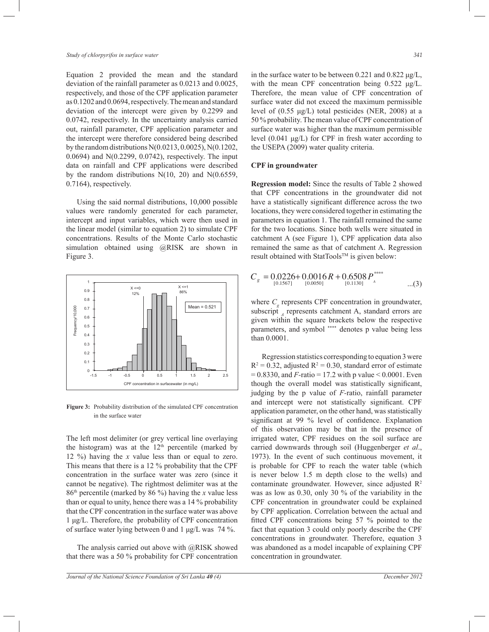Equation 2 provided the mean and the standard deviation of the rainfall parameter as 0.0213 and 0.0025, respectively, and those of the CPF application parameter as 0.1202 and 0.0694, respectively. The mean and standard deviation of the intercept were given by 0.2299 and 0.0742, respectively. In the uncertainty analysis carried out, rainfall parameter, CPF application parameter and the intercept were therefore considered being described by the random distributions N(0.0213, 0.0025), N(0.1202, 0.0694) and N(0.2299, 0.0742), respectively. The input data on rainfall and CPF applications were described by the random distributions  $N(10, 20)$  and  $N(0.6559, 1)$ 0.7164), respectively.

 Using the said normal distributions, 10,000 possible values were randomly generated for each parameter, intercept and input variables, which were then used in the linear model (similar to equation 2) to simulate CPF concentrations. Results of the Monte Carlo stochastic simulation obtained using @RISK are shown in Figure 3.



**Figure 3:** Probability distribution of the simulated CPF concentration in the surface water

The left most delimiter (or grey vertical line overlaying the histogram) was at the  $12<sup>th</sup>$  percentile (marked by 12 %) having the *x* value less than or equal to zero. This means that there is a 12 % probability that the CPF concentration in the surface water was zero (since it cannot be negative). The rightmost delimiter was at the 86th percentile (marked by 86 %) having the *x* value less than or equal to unity, hence there was a 14 % probability that the CPF concentration in the surface water was above 1 μg/L. Therefore, the probability of CPF concentration of surface water lying between 0 and 1 μg/L was 74 %.

 The analysis carried out above with @RISK showed that there was a 50 % probability for CPF concentration in the surface water to be between 0.221 and 0.822 μg/L, with the mean CPF concentration being 0.522 μg/L. Therefore, the mean value of CPF concentration of surface water did not exceed the maximum permissible level of (0.55 μg/L) total pesticides (NER, 2008) at a 50 % probability. The mean value of CPF concentration of surface water was higher than the maximum permissible level (0.041 μg/L) for CPF in fresh water according to the USEPA (2009) water quality criteria.

# **CPF in groundwater**

**Regression model:** Since the results of Table 2 showed that CPF concentrations in the groundwater did not have a statistically significant difference across the two locations, they were considered together in estimating the parameters in equation 1. The rainfall remained the same for the two locations. Since both wells were situated in catchment A (see Figure 1), CPF application data also remained the same as that of catchment A. Regression result obtained with StatTools<sup>TM</sup> is given below:

$$
C_g = 0.0226 + 0.0016 R + 0.6508 P^{****}_{[0.1130]} \n_{A}^{0.0567} \n_{C}^{0.0130}
$$

where  $C_g$  represents CPF concentration in groundwater, subscript <sub>A</sub> represents catchment A, standard errors are given within the square brackets below the respective parameters, and symbol \*\*\*\* denotes p value being less than 0.0001.

 Regression statistics corresponding to equation 3 were  $R^2 = 0.32$ , adjusted  $R^2 = 0.30$ , standard error of estimate  $= 0.8330$ , and *F*-ratio  $= 17.2$  with p value  $\le 0.0001$ . Even though the overall model was statistically significant, judging by the p value of *F-*ratio, rainfall parameter and intercept were not statistically significant. CPF application parameter, on the other hand, was statistically significant at 99 % level of confidence. Explanation of this observation may be that in the presence of irrigated water, CPF residues on the soil surface are carried downwards through soil (Huggenberger *et al*., 1973). In the event of such continuous movement, it is probable for CPF to reach the water table (which is never below 1.5 m depth close to the wells) and contaminate groundwater. However, since adjusted R<sup>2</sup> was as low as 0.30, only 30 % of the variability in the CPF concentration in groundwater could be explained by CPF application. Correlation between the actual and fitted CPF concentrations being 57 % pointed to the fact that equation 3 could only poorly describe the CPF concentrations in groundwater. Therefore, equation 3 was abandoned as a model incapable of explaining CPF concentration in groundwater.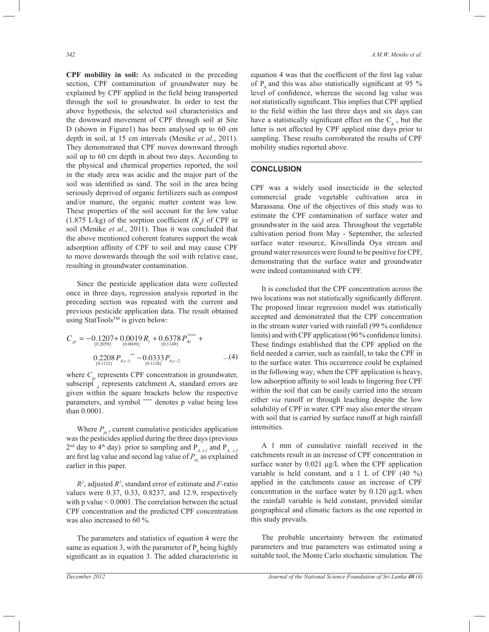**CPF mobility in soil:** As indicated in the preceding section, CPF contamination of groundwater may be explained by CPF applied in the field being transported through the soil to groundwater. In order to test the above hypothesis, the selected soil characteristics and the downward movement of CPF through soil at Site D (shown in Figure1) has been analysed up to 60 cm depth in soil, at 15 cm intervals (Menike *et al*., 2011). They demonstrated that CPF moves downward through soil up to 60 cm depth in about two days. According to the physical and chemical properties reported, the soil in the study area was acidic and the major part of the soil was identified as sand. The soil in the area being seriously deprived of organic fertilizers such as compost and/or manure, the organic matter content was low. These properties of the soil account for the low value (1.875 L/kg) of the sorption coefficient  $(K_d)$  of CPF in soil (Menike *et al*., 2011). Thus it was concluded that the above mentioned coherent features support the weak adsorption affinity of CPF to soil and may cause CPF to move downwards through the soil with relative ease, resulting in groundwater contamination.

 Since the pesticide application data were collected once in three days, regression analysis reported in the preceding section was repeated with the current and previous pesticide application data. The result obtained using StatTools™ is given below:

$$
C_{gt} = -0.1207 + 0.0019 R_t + 0.6378 P_{At}^{***} + 0.20591 R_{10.00491}^{0.00491} + 0.011491 R_{At}^{0.011491} + 0.2208 P_{A,t-1}^{**} - 0.0333 P_{A,t-2} \qquad ...(4)
$$

where  $C_{gt}$  represents CPF concentration in groundwater, subscript  $_{A}$  represents catchment A, standard errors are given within the square brackets below the respective parameters, and symbol \*\*\*\* denotes p value being less than 0.0001.

Where  $P_{\mu}$ , current cumulative pesticides application was the pesticides applied during the three days (previous  $2<sup>nd</sup>$  day to 4<sup>th</sup> day) prior to sampling and P<sub>*A, t-1*</sub> and P<sub>*A, t-2*</sub> are first lag value and second lag value of *PAt*, as explained earlier in this paper.

*R 2* , adjusted *R 2* , standard error of estimate and *F-*ratio values were 0.37, 0.33, 0.8237, and 12.9, respectively with p value < 0.0001. The correlation between the actual CPF concentration and the predicted CPF concentration was also increased to 60 %.

 The parameters and statistics of equation 4 were the same as equation 3, with the parameter of  $P_{\lambda}$  being highly significant as in equation 3. The added characteristic in

equation 4 was that the coefficient of the first lag value of  $P_{\alpha}$  and this was also statistically significant at 95 % level of confidence, whereas the second lag value was not statistically significant. This implies that CPF applied to the field within the last three days and six days can have a statistically significant effect on the  $C_g$ , but the latter is not affected by CPF applied nine days prior to sampling. These results corroborated the results of CPF mobility studies reported above.

# **CONCLUSION**

CPF was a widely used insecticide in the selected commercial grade vegetable cultivation area in Marassana. One of the objectives of this study was to estimate the CPF contamination of surface water and groundwater in the said area. Throughout the vegetable cultivation period from May - September, the selected surface water resource, Kiwullinda Oya stream and ground water resources were found to be positive for CPF, demonstrating that the surface water and groundwater were indeed contaminated with CPF.

 It is concluded that the CPF concentration across the two locations was not statistically significantly different. The proposed linear regression model was statistically accepted and demonstrated that the CPF concentration in the stream water varied with rainfall (99 % confidence limits) and with CPF application (90 % confidence limits). These findings established that the CPF applied on the field needed a carrier, such as rainfall, to take the CPF in to the surface water. This occurrence could be explained in the following way; when the CPF application is heavy, low adsorption affinity to soil leads to lingering free CPF within the soil that can be easily carried into the stream either *via* runoff or through leaching despite the low solubility of CPF in water. CPF may also enter the stream with soil that is carried by surface runoff at high rainfall intensities.

 A 1 mm of cumulative rainfall received in the catchments result in an increase of CPF concentration in surface water by 0.021 μg/L when the CPF application variable is held constant, and a 1 L of CPF (40 %) applied in the catchments cause an increase of CPF concentration in the surface water by 0.120 μg/L when the rainfall variable is held constant, provided similar geographical and climatic factors as the one reported in this study prevails.

 The probable uncertainty between the estimated parameters and true parameters was estimated using a suitable tool, the Monte Carlo stochastic simulation. The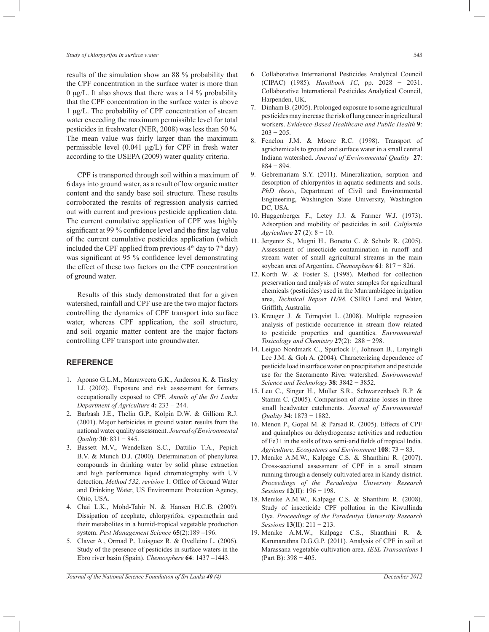results of the simulation show an 88 % probability that the CPF concentration in the surface water is more than 0 μg/L. It also shows that there was a 14 % probability that the CPF concentration in the surface water is above 1 μg/L. The probability of CPF concentration of stream water exceeding the maximum permissible level for total pesticides in freshwater (NER, 2008) was less than 50 %. The mean value was fairly larger than the maximum permissible level  $(0.041 \mu g/L)$  for CPF in fresh water according to the USEPA (2009) water quality criteria.

 CPF is transported through soil within a maximum of 6 days into ground water, as a result of low organic matter content and the sandy base soil structure. These results corroborated the results of regression analysis carried out with current and previous pesticide application data. The current cumulative application of CPF was highly significant at 99 % confidence level and the first lag value of the current cumulative pesticides application (which included the CPF applied from previous  $4<sup>th</sup>$  day to  $7<sup>th</sup>$  day) was significant at 95 % confidence level demonstrating the effect of these two factors on the CPF concentration of ground water.

 Results of this study demonstrated that for a given watershed, rainfall and CPF use are the two major factors controlling the dynamics of CPF transport into surface water, whereas CPF application, the soil structure, and soil organic matter content are the major factors controlling CPF transport into groundwater.

# **REFERENCE**

- 1. Aponso G.L.M., Manuweera G.K., Anderson K. & Tinsley I.J. (2002). Exposure and risk assessment for farmers occupationally exposed to CPF. *Annals of the Sri Lanka Department of Agriculture* **4:** 233 − 244.
- 2. Barbash J.E., Thelin G.P., Kolpin D.W. & Gilliom R.J. (2001). Major herbicides in ground water: results from the national water quality assessment. *Journal of Environmental Quality* **30**: 831 − 845.
- 3. Bassett M.V., Wendelken S.C., Dattilio T.A., Pepich B.V. & Munch D.J. (2000). Determination of phenylurea compounds in drinking water by solid phase extraction and high performance liquid chromatography with UV detection, *Method 532, revision* 1. Office of Ground Water and Drinking Water, US Environment Protection Agency, Ohio, USA.
- 4. Chai L.K., Mohd-Tahir N. & Hansen H.C.B. (2009). Dissipation of acephate, chlorpyrifos, cypermethrin and their metabolites in a humid-tropical vegetable production system. *Pest Management Science* **65**(2):189 –196.
- 5. Claver A., Ormad P., Luisguez R. & Ovelleiro L. (2006). Study of the presence of pesticides in surface waters in the Ebro river basin (Spain). *Chemosphere* **64**: 1437 –1443.
- 
- 6. Collaborative International Pesticides Analytical Council (CIPAC) (1985). *Handbook 1C*, pp. 2028 − 2031. Collaborative International Pesticides Analytical Council, Harpenden, UK.
- 7. Dinham B. (2005). Prolonged exposure to some agricultural pesticides may increase the risk of lung cancer in agricultural workers. *Evidence-Based Healthcare and Public Health* **9**:  $203 - 205$
- 8. Fenelon J.M. & Moore R.C. (1998). Transport of agrichemicals to ground and surface water in a small central Indiana watershed. *Journal of Environmental Quality* **27**: 884 − 894.
- 9. Gebremariam S.Y. (2011). Mineralization, sorption and desorption of chlorpyrifos in aquatic sediments and soils. *PhD thesis*, Department of Civil and Environmental Engineering, Washington State University, Washington DC, USA.
- 10. Huggenberger F., Letey J.J. & Farmer W.J. (1973). Adsorption and mobility of pesticides in soil. *California Agriculture* **27** (2): 8 − 10.
- 11. Jergentz S., Mugni H., Bonetto C. & Schulz R. (2005). Assessment of insecticide contamination in runoff and stream water of small agricultural streams in the main soybean area of Argentina. *Chemosphere* **61**: 817 − 826.
- 12. Korth W. & Foster S. (1998). Method for collection preservation and analysis of water samples for agricultural chemicals (pesticides) used in the Murrumbidgee irrigation area, *Technical Report 11/98.* CSIRO Land and Water, Griffith, Australia.
- 13. Kreuger J. & Törnqvist L. (2008). Multiple regression analysis of pesticide occurrence in stream flow related to pesticide properties and quantities. *Environmental Toxicology and Chemistry* **27**(2): 288 − 298.
- 14. Leiguo Nordmark C., Spurlock F., Johnson B., Linyingli Lee J.M. & Goh A. (2004). Characterizing dependence of pesticide load in surface water on precipitation and pesticide use for the Sacramento River watershed. *Environmental Science and Technology* **38**: 3842 − 3852.
- 15. Leu C., Singer H., Muller S.R., Schwarzenbach R.P. & Stamm C. (2005). Comparison of atrazine losses in three small headwater catchments. *Journal of Environmental Quality* **34**: 1873 − 1882.
- 16. Menon P., Gopal M. & Parsad R. (2005). Effects of CPF and quinalphos on dehydrogenase activities and reduction of Fe3+ in the soils of two semi-arid fields of tropical India. *Agriculture, Ecosystems and Environment* **108**: 73 − 83.
- 17. Menike A.M.W., Kalpage C.S. & Shanthini R. (2007). Cross-sectional assessment of CPF in a small stream running through a densely cultivated area in Kandy district. *Proceedings of the Peradeniya University Research Sessions* **12**(II): 196 − 198.
- 18. Menike A.M.W., Kalpage C.S. & Shanthini R. (2008). Study of insecticide CPF pollution in the Kiwullinda Oya. *Proceedings of the Peradeniya University Research Sessions* **13**(II): 211 − 213.
- 19. Menike A.M.W., Kalpage C.S., Shanthini R. & Karunarathna D.G.G.P. (2011). Analysis of CPF in soil at Marassana vegetable cultivation area. *IESL Transactions* **l**  (Part B): 398 − 405.